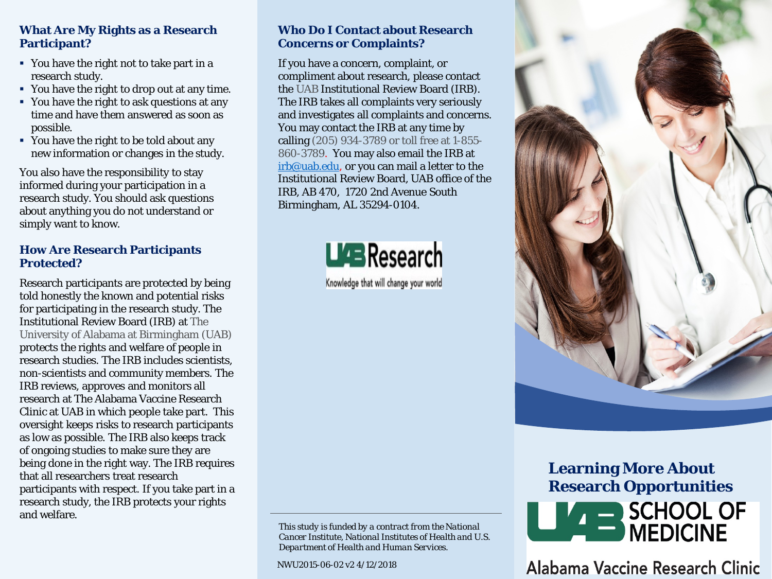## **What Are My Rights as a Research Participant?**

- You have the right not to take part in a research study.
- You have the right to drop out at any time.
- You have the right to ask questions at any time and have them answered as soon as possible.
- You have the right to be told about any new information or changes in the study.

You also have the responsibility to stay informed during your participation in a research study. You should ask questions about anything you do not understand or simply want to know.

## **How Are Research Participants Protected?**

Research participants are protected by being told honestly the known and potential risks for participating in the research study. The Institutional Review Board (IRB) at The University of Alabama at Birmingham (UAB) protects the rights and welfare of people in research studies. The IRB includes scientists, non-scientists and community members. The IRB reviews, approves and monitors all research at The Alabama Vaccine Research Clinic at UAB in which people take part. This oversight keeps risks to research participants as low as possible. The IRB also keeps track of ongoing studies to make sure they are being done in the right way. The IRB requires that all researchers treat research participants with respect. If you take part in a research study, the IRB protects your rights and welfare.

### **Who Do I Contact about Research Concerns or Complaints?**

If you have a concern, complaint, or compliment about research, please contact the UAB Institutional Review Board (IRB). The IRB takes all complaints very seriously and investigates all complaints and concerns. You may contact the IRB at any time by calling (205) 934-3789 or toll free at 1-855- 860-3789. You may also email the IRB at [irb@uab.edu](mailto:irb@uab.edu), or you can mail a letter to the Institutional Review Board, UAB office of the IRB, AB 470, 1720 2nd Avenue South Birmingham, AL 35294-0104.



Knowledge that will change your world

*This study is funded by a contract from the National Cancer Institute, National Institutes of Health and U.S. Department of Health and Human Services.*

NWU2015-06-02 v2 4/12/2018



**Learning More About Research Opportunities** SCHOOL OF<br>SMEDICINE

Alabama Vaccine Research Clinic